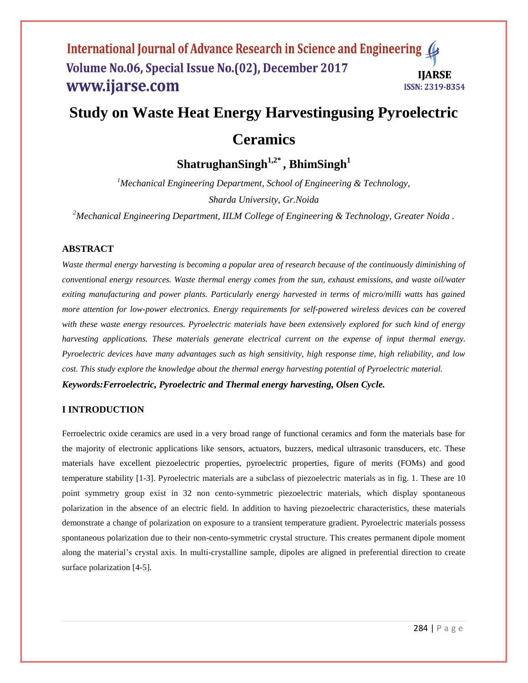# **Study on Waste Heat Energy Harvestingusing Pyroelectric**

# **Ceramics**

**ShatrughanSingh1,2\* , BhimSingh<sup>1</sup>**

*<sup>1</sup>Mechanical Engineering Department, School of Engineering & Technology, Sharda University, Gr.Noida*

*<sup>2</sup>Mechanical Engineering Department, IILM College of Engineering & Technology, Greater Noida .*

#### **ABSTRACT**

*Waste thermal energy harvesting is becoming a popular area of research because of the continuously diminishing of conventional energy resources. Waste thermal energy comes from the sun, exhaust emissions, and waste oil/water exiting manufacturing and power plants. Particularly energy harvested in terms of micro/milli watts has gained more attention for low-power electronics. Energy requirements for self-powered wireless devices can be covered with these waste energy resources. Pyroelectric materials have been extensively explored for such kind of energy harvesting applications. These materials generate electrical current on the expense of input thermal energy. Pyroelectric devices have many advantages such as high sensitivity, high response time, high reliability, and low cost. This study explore the knowledge about the thermal energy harvesting potential of Pyroelectric material. Keywords:Ferroelectric, Pyroelectric and Thermal energy harvesting, Olsen Cycle.*

#### **I INTRODUCTION**

Ferroelectric oxide ceramics are used in a very broad range of functional ceramics and form the materials base for the majority of electronic applications like sensors, actuators, buzzers, medical ultrasonic transducers, etc. These materials have excellent piezoelectric properties, pyroelectric properties, figure of merits (FOMs) and good temperature stability [1-3]. Pyroelectric materials are a subclass of piezoelectric materials as in fig. 1. These are 10 point symmetry group exist in 32 non cento-symmetric piezoelectric materials, which display spontaneous polarization in the absence of an electric field. In addition to having piezoelectric characteristics, these materials demonstrate a change of polarization on exposure to a transient temperature gradient. Pyroelectric materials possess spontaneous polarization due to their non-cento-symmetric crystal structure. This creates permanent dipole moment along the material's crystal axis. In multi-crystalline sample, dipoles are aligned in preferential direction to create surface polarization [4-5].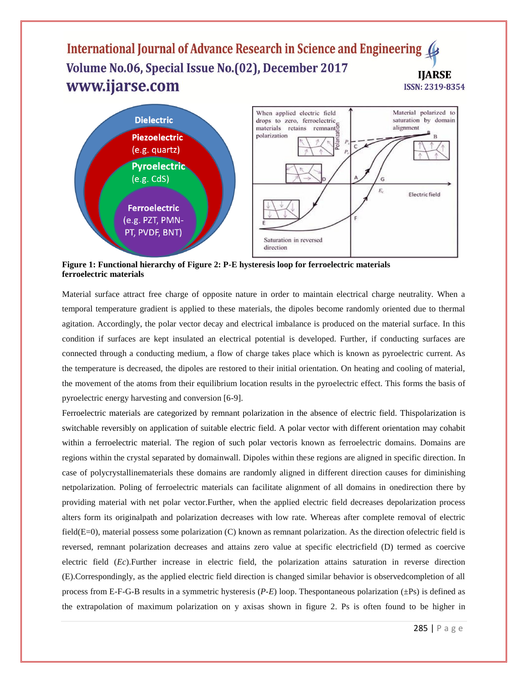

**Figure 1: Functional hierarchy of Figure 2: P-E hysteresis loop for ferroelectric materials ferroelectric materials**

Material surface attract free charge of opposite nature in order to maintain electrical charge neutrality. When a temporal temperature gradient is applied to these materials, the dipoles become randomly oriented due to thermal agitation. Accordingly, the polar vector decay and electrical imbalance is produced on the material surface. In this condition if surfaces are kept insulated an electrical potential is developed. Further, if conducting surfaces are connected through a conducting medium, a flow of charge takes place which is known as pyroelectric current. As the temperature is decreased, the dipoles are restored to their initial orientation. On heating and cooling of material, the movement of the atoms from their equilibrium location results in the pyroelectric effect. This forms the basis of pyroelectric energy harvesting and conversion [6-9].

Ferroelectric materials are categorized by remnant polarization in the absence of electric field. Thispolarization is switchable reversibly on application of suitable electric field. A polar vector with different orientation may cohabit within a ferroelectric material. The region of such polar vectoris known as ferroelectric domains. Domains are regions within the crystal separated by domainwall. Dipoles within these regions are aligned in specific direction. In case of polycrystallinematerials these domains are randomly aligned in different direction causes for diminishing netpolarization. Poling of ferroelectric materials can facilitate alignment of all domains in onedirection there by providing material with net polar vector.Further, when the applied electric field decreases depolarization process alters form its originalpath and polarization decreases with low rate. Whereas after complete removal of electric field( $E=0$ ), material possess some polarization (C) known as remnant polarization. As the direction ofelectric field is reversed, remnant polarization decreases and attains zero value at specific electricfield (D) termed as coercive electric field (*Ec*).Further increase in electric field, the polarization attains saturation in reverse direction (E).Correspondingly, as the applied electric field direction is changed similar behavior is observedcompletion of all process from E-F-G-B results in a symmetric hysteresis (*P-E*) loop. Thespontaneous polarization (±Ps) is defined as the extrapolation of maximum polarization on y axisas shown in figure 2. Ps is often found to be higher in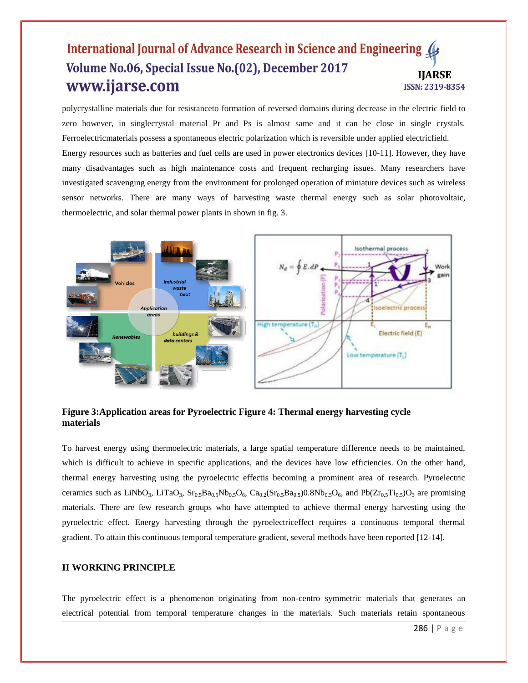polycrystalline materials due for resistanceto formation of reversed domains during decrease in the electric field to zero however, in singlecrystal material Pr and Ps is almost same and it can be close in single crystals. Ferroelectricmaterials possess a spontaneous electric polarization which is reversible under applied electricfield. Energy resources such as batteries and fuel cells are used in power electronics devices [10-11]. However, they have many disadvantages such as high maintenance costs and frequent recharging issues. Many researchers have investigated scavenging energy from the environment for prolonged operation of miniature devices such as wireless sensor networks. There are many ways of harvesting waste thermal energy such as solar photovoltaic, thermoelectric, and solar thermal power plants in shown in fig. 3.



**Figure 3:Application areas for Pyroelectric Figure 4: Thermal energy harvesting cycle materials**

To harvest energy using thermoelectric materials, a large spatial temperature difference needs to be maintained, which is difficult to achieve in specific applications, and the devices have low efficiencies. On the other hand, thermal energy harvesting using the pyroelectric effectis becoming a prominent area of research. Pyroelectric ceramics such as LiNbO<sub>3</sub>, LiTaO<sub>3</sub>, Sr<sub>0.5</sub>Ba<sub>0.5</sub>Nb<sub>0.5</sub>O<sub>6</sub>, Ca<sub>0.2</sub>(Sr<sub>0.5</sub>Ba<sub>0.5</sub>)0.8Nb<sub>0.5</sub>O<sub>6</sub>, and Pb(Zr<sub>0.5</sub>Ti<sub>0.5</sub>)O<sub>3</sub> are promising materials. There are few research groups who have attempted to achieve thermal energy harvesting using the pyroelectric effect. Energy harvesting through the pyroelectriceffect requires a continuous temporal thermal gradient. To attain this continuous temporal temperature gradient, several methods have been reported [12-14].

#### **II WORKING PRINCIPLE**

The pyroelectric effect is a phenomenon originating from non-centro symmetric materials that generates an electrical potential from temporal temperature changes in the materials. Such materials retain spontaneous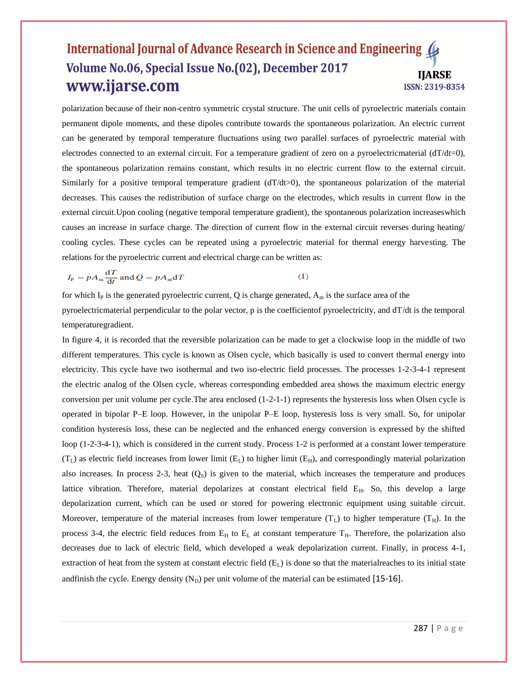polarization because of their non-centro symmetric crystal structure. The unit cells of pyroelectric materials contain permanent dipole moments, and these dipoles contribute towards the spontaneous polarization. An electric current can be generated by temporal temperature fluctuations using two parallel surfaces of pyroelectric material with electrodes connected to an external circuit. For a temperature gradient of zero on a pyroelectricmaterial  $(dT/dt=0)$ , the spontaneous polarization remains constant, which results in no electric current flow to the external circuit. Similarly for a positive temporal temperature gradient  $(dT/dt>0)$ , the spontaneous polarization of the material decreases. This causes the redistribution of surface charge on the electrodes, which results in current flow in the external circuit.Upon cooling (negative temporal temperature gradient), the spontaneous polarization increaseswhich causes an increase in surface charge. The direction of current flow in the external circuit reverses during heating/ cooling cycles. These cycles can be repeated using a pyroelectric material for thermal energy harvesting. The relations for the pyroelectric current and electrical charge can be written as:

$$
I_{\rm P} = pA_{\rm m} \frac{\mathrm{d}T}{\mathrm{d}t} \text{ and } Q = pA_{\rm m} \mathrm{d}T \tag{1}
$$

for which I<sub>P</sub> is the generated pyroelectric current, Q is charge generated,  $A_m$  is the surface area of the pyroelectricmaterial perpendicular to the polar vector,  $p$  is the coefficientof pyroelectricity, and  $dT/dt$  is the temporal temperaturegradient.

In figure 4, it is recorded that the reversible polarization can be made to get a clockwise loop in the middle of two different temperatures. This cycle is known as Olsen cycle, which basically is used to convert thermal energy into electricity. This cycle have two isothermal and two iso-electric field processes. The processes 1-2-3-4-1 represent the electric analog of the Olsen cycle, whereas corresponding embedded area shows the maximum electric energy conversion per unit volume per cycle.The area enclosed (1-2-1-1) represents the hysteresis loss when Olsen cycle is operated in bipolar P–E loop. However, in the unipolar P–E loop, hysteresis loss is very small. So, for unipolar condition hysteresis loss, these can be neglected and the enhanced energy conversion is expressed by the shifted loop (1-2-3-4-1), which is considered in the current study. Process 1-2 is performed at a constant lower temperature  $(T_L)$  as electric field increases from lower limit  $(E_L)$  to higher limit  $(E_H)$ , and correspondingly material polarization also increases. In process 2-3, heat  $(Q<sub>S</sub>)$  is given to the material, which increases the temperature and produces lattice vibration. Therefore, material depolarizes at constant electrical field E<sub>H</sub>. So, this develop a large depolarization current, which can be used or stored for powering electronic equipment using suitable circuit. Moreover, temperature of the material increases from lower temperature  $(T_L)$  to higher temperature  $(T_H)$ . In the process 3-4, the electric field reduces from  $E_H$  to  $E_L$  at constant temperature  $T_H$ . Therefore, the polarization also decreases due to lack of electric field, which developed a weak depolarization current. Finally, in process 4-1, extraction of heat from the system at constant electric field  $(E<sub>L</sub>)$  is done so that the material reaches to its initial state andfinish the cycle. Energy density  $(N_D)$  per unit volume of the material can be estimated [15-16].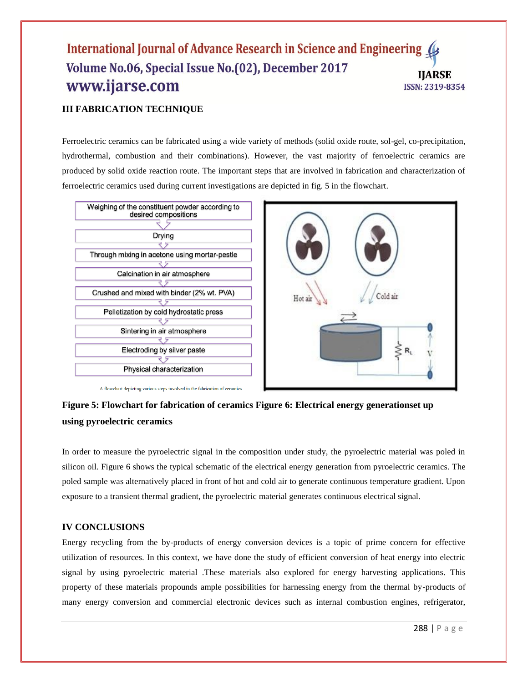## **III FABRICATION TECHNIQUE**

Ferroelectric ceramics can be fabricated using a wide variety of methods (solid oxide route, sol-gel, co-precipitation, hydrothermal, combustion and their combinations). However, the vast majority of ferroelectric ceramics are produced by solid oxide reaction route. The important steps that are involved in fabrication and characterization of ferroelectric ceramics used during current investigations are depicted in fig. 5 in the flowchart.



# **Figure 5: Flowchart for fabrication of ceramics Figure 6: Electrical energy generationset up**

#### **using pyroelectric ceramics**

In order to measure the pyroelectric signal in the composition under study, the pyroelectric material was poled in silicon oil. Figure 6 shows the typical schematic of the electrical energy generation from pyroelectric ceramics. The poled sample was alternatively placed in front of hot and cold air to generate continuous temperature gradient. Upon exposure to a transient thermal gradient, the pyroelectric material generates continuous electrical signal.

### **IV CONCLUSIONS**

Energy recycling from the by-products of energy conversion devices is a topic of prime concern for effective utilization of resources. In this context, we have done the study of efficient conversion of heat energy into electric signal by using pyroelectric material .These materials also explored for energy harvesting applications. This property of these materials propounds ample possibilities for harnessing energy from the thermal by-products of many energy conversion and commercial electronic devices such as internal combustion engines, refrigerator,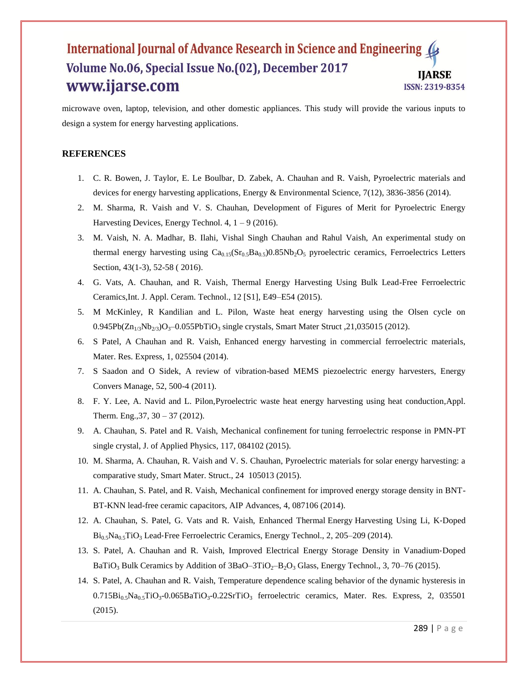microwave oven, laptop, television, and other domestic appliances. This study will provide the various inputs to design a system for energy harvesting applications.

#### **REFERENCES**

- 1. C. R. Bowen, J. Taylor, E. Le Boulbar, D. Zabek, A. Chauhan and R. Vaish, Pyroelectric materials and devices for energy harvesting applications*,* Energy & Environmental Science, 7(12), 3836-3856 (2014).
- 2. M. Sharma, R. Vaish and V. S. Chauhan, Development of Figures of Merit for Pyroelectric Energy Harvesting Devices, Energy Technol. 4,  $1 - 9$  (2016).
- 3. M. Vaish, N. A. Madhar, B. Ilahi, Vishal Singh Chauhan and Rahul Vaish, An experimental study on thermal energy harvesting using Ca<sub>0.15</sub>(Sr<sub>0.5</sub>Ba<sub>0.5</sub>)0.85Nb<sub>2</sub>O<sub>5</sub> pyroelectric ceramics, Ferroelectrics Letters Section, 43(1-3), 52-58 (2016).
- 4. G. Vats, A. Chauhan, and R. Vaish, Thermal Energy Harvesting Using Bulk Lead-Free Ferroelectric Ceramics,Int. J. Appl. Ceram. Technol., 12 [S1], E49–E54 (2015).
- 5. M McKinley, R Kandilian and L. Pilon, Waste heat energy harvesting using the Olsen cycle on  $0.945Pb(Zn_{1/3}Nb_{2/3})O_3-0.055PbTiO_3$  single crystals, Smart Mater Struct ,21,035015 (2012).
- 6. S Patel, A Chauhan and R. Vaish, Enhanced energy harvesting in commercial ferroelectric materials, Mater. Res. Express, 1, 025504 (2014).
- 7. S Saadon and O Sidek, A review of vibration-based MEMS piezoelectric energy harvesters, Energy Convers Manage, 52, 500-4 (2011).
- 8. F. Y. Lee, A. Navid and L. Pilon[,Pyroelectric waste heat energy harvesting using heat conduction](http://www.sciencedirect.com/science/article/pii/S1359431111007319)[,Appl.](http://dx.doi.org/10.1016/j.applthermaleng.2011.12.034)  [Therm. Eng.,37, 30 –](http://dx.doi.org/10.1016/j.applthermaleng.2011.12.034) 37 (2012).
- 9. A. Chauhan, S. Patel and R. Vaish, Mechanical confinement for [tuning ferroelectric response in PMN-PT](http://aip.scitation.org/doi/abs/10.1063/1.4908596)  [single crystal,](http://aip.scitation.org/doi/abs/10.1063/1.4908596) J. of Applied Physics, 117, 084102 (2015).
- 10. M. Sharma, A. Chauhan, R. Vaish and V. S. Chauhan, Pyroelectric materials for solar energy harvesting: a comparative study, Smart Mater. Struct., 24 105013 (2015).
- 11. A. Chauhan, S. Patel, and R. Vaish, Mechanical confinement for improved energy storage density in BNT-BT-KNN lead-free ceramic capacitors, AIP Advances, 4, 087106 (2014).
- 12. A. Chauhan, S. Patel, G. Vats and R. Vaish, Enhanced Thermal Energy [Harvesting Using Li, K](http://onlinelibrary.wiley.com/doi/10.1002/ente.201300138/full)‐Doped  $Bi<sub>0.5</sub>Na<sub>0.5</sub>TiO<sub>3</sub> Lead-Free Ferroelectric Ceramics, Energy Technol., 2, 205–209 (2014).$  $Bi<sub>0.5</sub>Na<sub>0.5</sub>TiO<sub>3</sub> Lead-Free Ferroelectric Ceramics, Energy Technol., 2, 205–209 (2014).$  $Bi<sub>0.5</sub>Na<sub>0.5</sub>TiO<sub>3</sub> Lead-Free Ferroelectric Ceramics, Energy Technol., 2, 205–209 (2014).$
- 13. S. Patel, A. Chauhan and R. Vaish, [Improved Electrical Energy Storage Density in Vanadium](http://onlinelibrary.wiley.com/doi/10.1002/ente.201402118/full)‐Doped BaTiO<sub>3</sub> Bulk Ceramics by Addition of  $3BaO-3TiO<sub>2</sub>-B<sub>2</sub>O<sub>3</sub> Glass$ , Energy Technol., 3, 70–76 (2015).
- 14. S. Patel, A. Chauhan and R. Vaish, [Temperature dependence scaling behavior of the dynamic hysteresis in](http://iopscience.iop.org/article/10.1088/2053-1591/2/3/035501/meta)   $0.715Bi_{0.5}Na_{0.5}TiO_3-0.065BaTiO_3-0.22SrTiO_3$  [ferroelectric ceramics,](http://iopscience.iop.org/article/10.1088/2053-1591/2/3/035501/meta) Mater. Res. Express, 2, 035501 (2015).